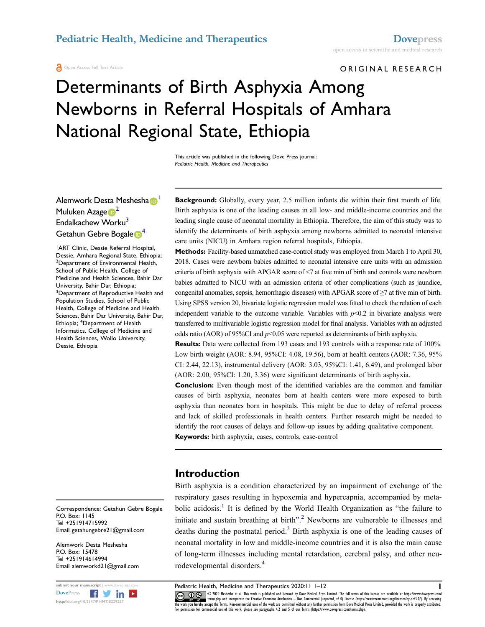Open Access Full Text Article

ORIGINAL RESEARCH

# Determinants of Birth Asphyxia Among Newborns in Referral Hospitals of Amhara National Regional State, Ethiopia

This article was published in the following Dove Press journal: Pediatric Health, Medicine and Therapeutics

### Alemwork Dest[a](http://orcid.org/0000-0001-6927-1712) Meshesha<sup>D</sup> Muluk[e](http://orcid.org/0000-0003-3222-0158)n Azage $\mathbb{R}^2$  $\mathbb{R}^2$ Endalkachew Worku<sup>[3](#page-0-2)</sup> G[e](http://orcid.org/0000-0002-2594-9488)tahun Gebre Bogale <sup>[4](#page-0-3)</sup>

<span id="page-0-3"></span><span id="page-0-2"></span><span id="page-0-1"></span><span id="page-0-0"></span><sup>1</sup> ART Clinic, Dessie Referral Hospital, Dessie, Amhara Regional State, Ethiopia; <sup>2</sup>Department of Environmental Health, School of Public Health, College of Medicine and Health Sciences, Bahir Dar University, Bahir Dar, Ethiopia; <sup>3</sup>Department of Reproductive Health and Population Studies, School of Public Health, College of Medicine and Health Sciences, Bahir Dar University, Bahir Dar, Ethiopia; <sup>4</sup> Department of Health Informatics, College of Medicine and Health Sciences, Wollo University, Dessie, Ethiopia

Correspondence: Getahun Gebre Bogale P.O. Box: 1145 Tel +251914715992 Email getahungebre21@gmail.com

Alemwork Desta Meshesha P.O. Box: 15478 Tel +251914614994 Email [alemworkd21@gmail.com](mailto:alemworkd21@gmail.com)



Background: Globally, every year, 2.5 million infants die within their first month of life. Birth asphyxia is one of the leading causes in all low- and middle-income countries and the leading single cause of neonatal mortality in Ethiopia. Therefore, the aim of this study was to identify the determinants of birth asphyxia among newborns admitted to neonatal intensive care units (NICU) in Amhara region referral hospitals, Ethiopia.

Methods: Facility-based unmatched case-control study was employed from March 1 to April 30, 2018. Cases were newborn babies admitted to neonatal intensive care units with an admission criteria of birth asphyxia with APGAR score of <7 at five min of birth and controls were newborn babies admitted to NICU with an admission criteria of other complications (such as jaundice, congenital anomalies, sepsis, hemorrhagic diseases) with APGAR score of  $\geq 7$  at five min of birth. Using SPSS version 20, bivariate logistic regression model was fitted to check the relation of each independent variable to the outcome variable. Variables with  $p<0.2$  in bivariate analysis were transferred to multivariable logistic regression model for final analysis. Variables with an adjusted odds ratio (AOR) of 95%CI and  $p$ <0.05 were reported as determinants of birth asphyxia.

Results: Data were collected from 193 cases and 193 controls with a response rate of 100%. Low birth weight (AOR: 8.94, 95%CI: 4.08, 19.56), born at health centers (AOR: 7.36, 95% CI: 2.44, 22.13), instrumental delivery (AOR: 3.03, 95%CI: 1.41, 6.49), and prolonged labor (AOR: 2.00, 95%CI: 1.20, 3.36) were significant determinants of birth asphyxia.

Conclusion: Even though most of the identified variables are the common and familiar causes of birth asphyxia, neonates born at health centers were more exposed to birth asphyxia than neonates born in hospitals. This might be due to delay of referral process and lack of skilled professionals in health centers. Further research might be needed to identify the root causes of delays and follow-up issues by adding qualitative component.

Keywords: birth asphyxia, cases, controls, case-control

# Introduction

<span id="page-0-5"></span><span id="page-0-4"></span>Birth asphyxia is a condition characterized by an impairment of exchange of the respiratory gases resulting in hypoxemia and hypercapnia, accompanied by meta-bolic acidosis.<sup>[1](#page-10-0)</sup> It is defined by the World Health Organization as "the failure to initiate and sustain breathing at birth".<sup>[2](#page-10-1)</sup> Newborns are vulnerable to illnesses and deaths during the postnatal period.<sup>[3](#page-10-2)</sup> Birth asphyxia is one of the leading causes of neonatal mortality in low and middle-income countries and it is also the main cause of long-term illnesses including mental retardation, cerebral palsy, and other neu-rodevelopmental disorders.<sup>[4](#page-10-3)</sup>

submit your manuscript | www.dovepress.com **Pediatric Health, Medicine and Therapeutics 2020:11 1–12 1989**<br>DovePress **Figure 1989 1999 2020** Meshesha et al. This work is published and license by Dove Medical Press Li DOVERS END TO DE 1999 AND 1999 AND 1999 AND 1999 AND 1999 MESS ARE COLOR MESS ARE EVIDENCE AND THE MANUTER OF THE MANUTER OF THE MANUTER OF THE MANUTER OF THE MANUTER OF THE MANUTER OF THE MANUTER OF THE MANUTER OF THE MAN For permission for commercial use of this work, please see paragraphs 4.2 and 5 of our Terms (https://www.dovepress.com/terms.php).

<span id="page-0-6"></span>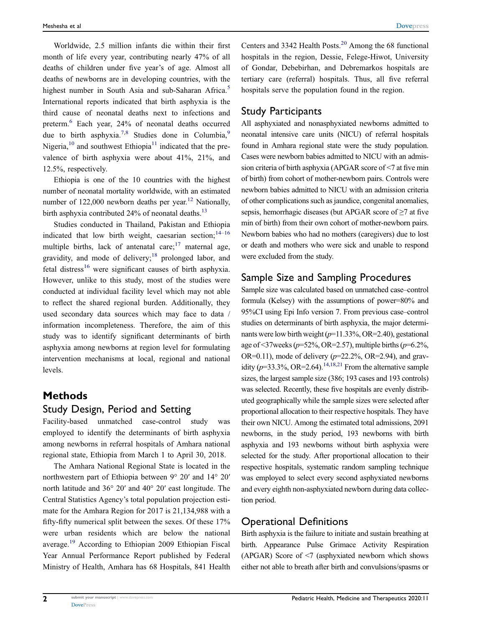<span id="page-1-0"></span>Worldwide, 2.5 million infants die within their first month of life every year, contributing nearly 47% of all deaths of children under five year's of age. Almost all deaths of newborns are in developing countries, with the highest number in South Asia and sub-Saharan Africa.<sup>[5](#page-10-4)</sup> International reports indicated that birth asphyxia is the third cause of neonatal deaths next to infections and preterm.[6](#page-10-5) Each year, 24% of neonatal deaths occurred due to birth asphyxia.<sup>[7,](#page-10-6)[8](#page-10-7)</sup> Studies done in Columbia,<sup>[9](#page-10-8)</sup> Nigeria, $10$  and southwest Ethiopia<sup>[11](#page-10-10)</sup> indicated that the prevalence of birth asphyxia were about 41%, 21%, and 12.5%, respectively.

<span id="page-1-4"></span><span id="page-1-3"></span><span id="page-1-2"></span><span id="page-1-1"></span>Ethiopia is one of the 10 countries with the highest number of neonatal mortality worldwide, with an estimated number of [12](#page-10-11)2,000 newborn deaths per year.<sup>12</sup> Nationally, birth asphyxia contributed 24% of neonatal deaths.<sup>13</sup>

<span id="page-1-8"></span><span id="page-1-7"></span><span id="page-1-5"></span>Studies conducted in Thailand, Pakistan and Ethiopia indicated that low birth weight, caesarian section; $14-16$  $14-16$  $14-16$ multiple births, lack of antenatal care; $17$  maternal age, gravidity, and mode of delivery; $18$  prolonged labor, and fetal distress<sup>[16](#page-10-14)</sup> were significant causes of birth asphyxia. However, unlike to this study, most of the studies were conducted at individual facility level which may not able to reflect the shared regional burden. Additionally, they used secondary data sources which may face to data / information incompleteness. Therefore, the aim of this study was to identify significant determinants of birth asphyxia among newborns at region level for formulating intervention mechanisms at local, regional and national levels.

#### Methods

#### Study Design, Period and Setting

Facility-based unmatched case-control study was employed to identify the determinants of birth asphyxia among newborns in referral hospitals of Amhara national regional state, Ethiopia from March 1 to April 30, 2018.

<span id="page-1-9"></span>The Amhara National Regional State is located in the northwestern part of Ethiopia between 9° 20ʹ and 14° 20ʹ north latitude and 36° 20ʹ and 40° 20ʹ east longitude. The Central Statistics Agency's total population projection estimate for the Amhara Region for 2017 is 21,134,988 with a fifty-fifty numerical split between the sexes. Of these 17% were urban residents which are below the national average.[19](#page-10-17) According to Ethiopian 2009 Ethiopian Fiscal Year Annual Performance Report published by Federal Ministry of Health, Amhara has 68 Hospitals, 841 Health <span id="page-1-10"></span>Centers and 3342 Health Posts.<sup>[20](#page-10-18)</sup> Among the 68 functional hospitals in the region, Dessie, Felege-Hiwot, University of Gondar, Debebirhan, and Debremarkos hospitals are tertiary care (referral) hospitals. Thus, all five referral hospitals serve the population found in the region.

### Study Participants

All asphyxiated and nonasphyxiated newborns admitted to neonatal intensive care units (NICU) of referral hospitals found in Amhara regional state were the study population. Cases were newborn babies admitted to NICU with an admission criteria of birth asphyxia (APGAR score of <7 at five min of birth) from cohort of mother-newborn pairs. Controls were newborn babies admitted to NICU with an admission criteria of other complications such asjaundice, congenital anomalies, sepsis, hemorrhagic diseases (but APGAR score of ≥7 at five min of birth) from their own cohort of mother-newborn pairs. Newborn babies who had no mothers (caregivers) due to lost or death and mothers who were sick and unable to respond were excluded from the study.

### Sample Size and Sampling Procedures

<span id="page-1-6"></span>Sample size was calculated based on unmatched case–control formula (Kelsey) with the assumptions of power=80% and 95%CI using Epi Info version 7. From previous case–control studies on determinants of birth asphyxia, the major determinants were low birth weight  $(p=11.33\%, \text{OR} = 2.40)$ , gestational age of  $\leq$ 37 weeks (p=52%, OR=2.57), multiple births (p=6.2%, OR=0.11), mode of delivery  $(p=22.2\%, \text{ OR}=2.94)$ , and gravidity ( $p=33.3\%$ , OR=2.64).<sup>14[,18,](#page-10-16)[21](#page-10-19)</sup> From the alternative sample sizes, the largest sample size (386; 193 cases and 193 controls) was selected. Recently, these five hospitals are evenly distributed geographically while the sample sizes were selected after proportional allocation to their respective hospitals. They have their own NICU. Among the estimated total admissions, 2091 newborns, in the study period, 193 newborns with birth asphyxia and 193 newborns without birth asphyxia were selected for the study. After proportional allocation to their respective hospitals, systematic random sampling technique was employed to select every second asphyxiated newborns and every eighth non-asphyxiated newborn during data collection period.

#### Operational Definitions

Birth asphyxia is the failure to initiate and sustain breathing at birth. Appearance Pulse Grimace Activity Respiration (APGAR) Score of <7 (asphyxiated newborn which shows either not able to breath after birth and convulsions/spasms or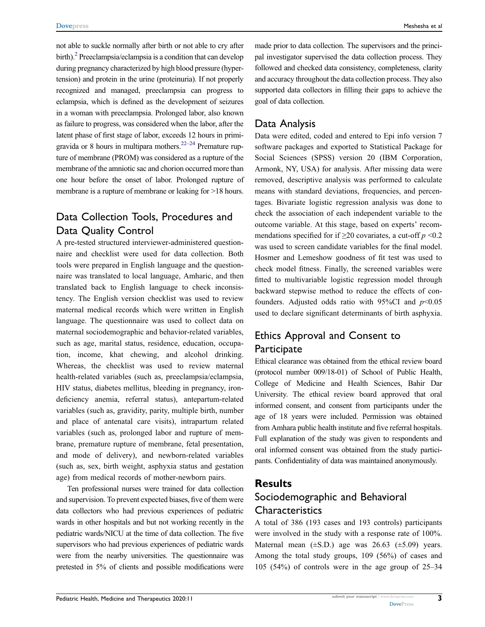not able to suckle normally after birth or not able to cry after birth).<sup>2</sup> Preeclampsia/eclampsia is a condition that can develop during pregnancy characterized by high blood pressure (hypertension) and protein in the urine (proteinuria). If not properly recognized and managed, preeclampsia can progress to eclampsia, which is defined as the development of seizures in a woman with preeclampsia. Prolonged labor, also known as failure to progress, was considered when the labor, after the latent phase of first stage of labor, exceeds 12 hours in primi-gravida or 8 hours in multipara mothers.<sup>[22](#page-10-20)–[24](#page-10-21)</sup> Premature rupture of membrane (PROM) was considered as a rupture of the membrane of the amniotic sac and chorion occurred more than one hour before the onset of labor. Prolonged rupture of membrane is a rupture of membrane or leaking for >18 hours.

# <span id="page-2-0"></span>Data Collection Tools, Procedures and Data Quality Control

A pre-tested structured interviewer-administered questionnaire and checklist were used for data collection. Both tools were prepared in English language and the questionnaire was translated to local language, Amharic, and then translated back to English language to check inconsistency. The English version checklist was used to review maternal medical records which were written in English language. The questionnaire was used to collect data on maternal sociodemographic and behavior-related variables, such as age, marital status, residence, education, occupation, income, khat chewing, and alcohol drinking. Whereas, the checklist was used to review maternal health-related variables (such as, preeclampsia/eclampsia, HIV status, diabetes mellitus, bleeding in pregnancy, irondeficiency anemia, referral status), antepartum-related variables (such as, gravidity, parity, multiple birth, number and place of antenatal care visits), intrapartum related variables (such as, prolonged labor and rupture of membrane, premature rupture of membrane, fetal presentation, and mode of delivery), and newborn-related variables (such as, sex, birth weight, asphyxia status and gestation age) from medical records of mother-newborn pairs.

Ten professional nurses were trained for data collection and supervision. To prevent expected biases, five of them were data collectors who had previous experiences of pediatric wards in other hospitals and but not working recently in the pediatric wards/NICU at the time of data collection. The five supervisors who had previous experiences of pediatric wards were from the nearby universities. The questionnaire was pretested in 5% of clients and possible modifications were

made prior to data collection. The supervisors and the principal investigator supervised the data collection process. They followed and checked data consistency, completeness, clarity and accuracy throughout the data collection process. They also supported data collectors in filling their gaps to achieve the goal of data collection.

# Data Analysis

Data were edited, coded and entered to Epi info version 7 software packages and exported to Statistical Package for Social Sciences (SPSS) version 20 (IBM Corporation, Armonk, NY, USA) for analysis. After missing data were removed, descriptive analysis was performed to calculate means with standard deviations, frequencies, and percentages. Bivariate logistic regression analysis was done to check the association of each independent variable to the outcome variable. At this stage, based on experts' recommendations specified for if  $\geq$ 20 covariates, a cut-off  $p$  <0.2 was used to screen candidate variables for the final model. Hosmer and Lemeshow goodness of fit test was used to check model fitness. Finally, the screened variables were fitted to multivariable logistic regression model through backward stepwise method to reduce the effects of confounders. Adjusted odds ratio with 95%CI and  $p<0.05$ used to declare significant determinants of birth asphyxia.

# Ethics Approval and Consent to **Participate**

Ethical clearance was obtained from the ethical review board (protocol number 009/18-01) of School of Public Health, College of Medicine and Health Sciences, Bahir Dar University. The ethical review board approved that oral informed consent, and consent from participants under the age of 18 years were included. Permission was obtained from Amhara public health institute and five referral hospitals. Full explanation of the study was given to respondents and oral informed consent was obtained from the study participants. Confidentiality of data was maintained anonymously.

# **Results**

# Sociodemographic and Behavioral **Characteristics**

A total of 386 (193 cases and 193 controls) participants were involved in the study with a response rate of 100%. Maternal mean  $(\pm S.D.)$  age was 26.63  $(\pm 5.09)$  years. Among the total study groups, 109 (56%) of cases and 105 (54%) of controls were in the age group of 25–34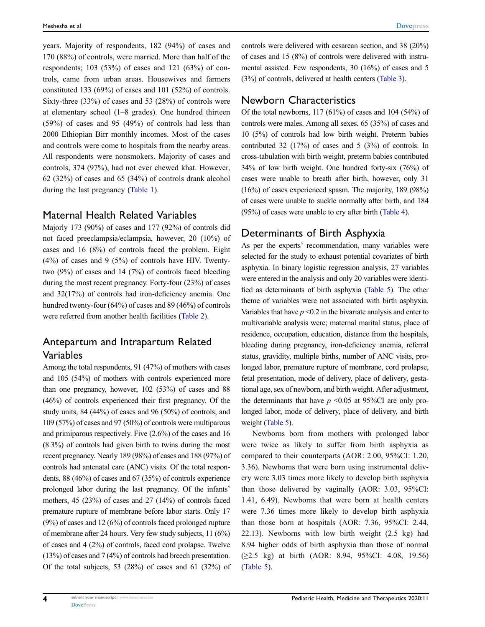years. Majority of respondents, 182 (94%) of cases and 170 (88%) of controls, were married. More than half of the respondents; 103 (53%) of cases and 121 (63%) of controls, came from urban areas. Housewives and farmers constituted 133 (69%) of cases and 101 (52%) of controls. Sixty-three (33%) of cases and 53 (28%) of controls were at elementary school (1–8 grades). One hundred thirteen (59%) of cases and 95 (49%) of controls had less than 2000 Ethiopian Birr monthly incomes. Most of the cases and controls were come to hospitals from the nearby areas. All respondents were nonsmokers. Majority of cases and controls, 374 (97%), had not ever chewed khat. However, 62 (32%) of cases and 65 (34%) of controls drank alcohol during the last pregnancy [\(Table 1\)](#page-4-0).

#### Maternal Health Related Variables

Majorly 173 (90%) of cases and 177 (92%) of controls did not faced preeclampsia/eclampsia, however, 20 (10%) of cases and 16 (8%) of controls faced the problem. Eight  $(4%)$  of cases and 9  $(5%)$  of controls have HIV. Twentytwo (9%) of cases and 14 (7%) of controls faced bleeding during the most recent pregnancy. Forty-four (23%) of cases and 32(17%) of controls had iron-deficiency anemia. One hundred twenty-four (64%) of cases and 89 (46%) of controls were referred from another health facilities ([Table 2](#page-5-0)).

# Antepartum and Intrapartum Related Variables

Among the total respondents, 91 (47%) of mothers with cases and 105 (54%) of mothers with controls experienced more than one pregnancy, however, 102 (53%) of cases and 88 (46%) of controls experienced their first pregnancy. Of the study units, 84 (44%) of cases and 96 (50%) of controls; and 109 (57%) of cases and 97 (50%) of controls were multiparous and primiparous respectively. Five (2.6%) of the cases and 16 (8.3%) of controls had given birth to twins during the most recent pregnancy. Nearly 189 (98%) of cases and 188 (97%) of controls had antenatal care (ANC) visits. Of the total respondents, 88 (46%) of cases and 67 (35%) of controls experience prolonged labor during the last pregnancy. Of the infants' mothers, 45 (23%) of cases and 27 (14%) of controls faced premature rupture of membrane before labor starts. Only 17 (9%) of cases and 12 (6%) of controls faced prolonged rupture of membrane after 24 hours. Very few study subjects, 11 (6%) of cases and 4 (2%) of controls, faced cord prolapse. Twelve (13%) of cases and 7 (4%) of controls had breech presentation. Of the total subjects, 53 (28%) of cases and 61 (32%) of controls were delivered with cesarean section, and 38 (20%) of cases and 15 (8%) of controls were delivered with instrumental assisted. Few respondents, 30 (16%) of cases and 5 (3%) of controls, delivered at health centers [\(Table 3\)](#page-6-0).

#### Newborn Characteristics

Of the total newborns,  $117 (61%)$  of cases and  $104 (54%)$  of controls were males. Among all sexes, 65 (35%) of cases and 10 (5%) of controls had low birth weight. Preterm babies contributed 32 (17%) of cases and 5 (3%) of controls. In cross-tabulation with birth weight, preterm babies contributed 34% of low birth weight. One hundred forty-six (76%) of cases were unable to breath after birth, however, only 31 (16%) of cases experienced spasm. The majority, 189 (98%) of cases were unable to suckle normally after birth, and 184 (95%) of cases were unable to cry after birth [\(Table 4\)](#page-7-0).

### Determinants of Birth Asphyxia

As per the experts' recommendation, many variables were selected for the study to exhaust potential covariates of birth asphyxia. In binary logistic regression analysis, 27 variables were entered in the analysis and only 20 variables were identified as determinants of birth asphyxia [\(Table 5](#page-8-0)). The other theme of variables were not associated with birth asphyxia. Variables that have  $p \le 0.2$  in the bivariate analysis and enter to multivariable analysis were; maternal marital status, place of residence, occupation, education, distance from the hospitals, bleeding during pregnancy, iron-deficiency anemia, referral status, gravidity, multiple births, number of ANC visits, prolonged labor, premature rupture of membrane, cord prolapse, fetal presentation, mode of delivery, place of delivery, gestational age, sex of newborn, and birth weight. After adjustment, the determinants that have  $p \le 0.05$  at 95%CI are only prolonged labor, mode of delivery, place of delivery, and birth weight [\(Table 5\)](#page-8-0).

Newborns born from mothers with prolonged labor were twice as likely to suffer from birth asphyxia as compared to their counterparts (AOR: 2.00, 95%CI: 1.20, 3.36). Newborns that were born using instrumental delivery were 3.03 times more likely to develop birth asphyxia than those delivered by vaginally (AOR: 3.03, 95%CI: 1.41, 6.49). Newborns that were born at health centers were 7.36 times more likely to develop birth asphyxia than those born at hospitals (AOR: 7.36, 95%CI: 2.44, 22.13). Newborns with low birth weight (2.5 kg) had 8.94 higher odds of birth asphyxia than those of normal (≥2.5 kg) at birth (AOR: 8.94, 95%CI: 4.08, 19.56) [\(Table 5](#page-8-0)).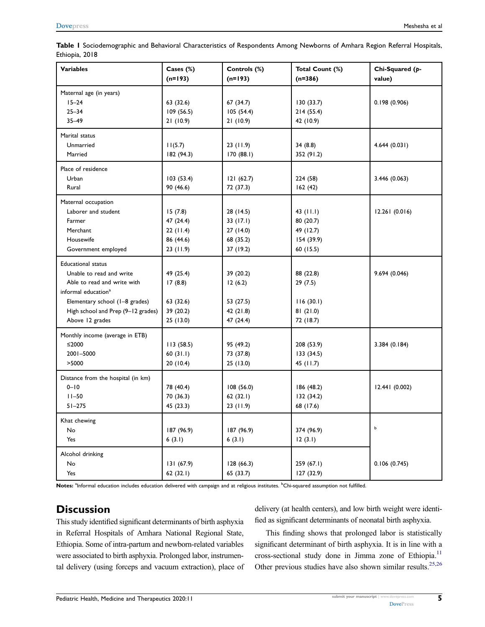<span id="page-4-0"></span>

|                | Table I Sociodemographic and Behavioral Characteristics of Respondents Among Newborns of Amhara Region Referral Hospitals, |  |  |  |  |
|----------------|----------------------------------------------------------------------------------------------------------------------------|--|--|--|--|
| Ethiopia, 2018 |                                                                                                                            |  |  |  |  |

| <b>Variables</b>                   | Cases (%)<br>$(n=193)$ | Controls (%)<br>$(n=193)$ | Total Count (%)<br>$(n=386)$ | Chi-Squared (p-<br>value) |
|------------------------------------|------------------------|---------------------------|------------------------------|---------------------------|
| Maternal age (in years)            |                        |                           |                              |                           |
| $15 - 24$                          | 63 (32.6)              | 67 (34.7)                 | 130(33.7)                    | 0.198(0.906)              |
| $25 - 34$                          | 109(56.5)              | 105(54.4)                 | 214(55.4)                    |                           |
| $35 - 49$                          | 21(10.9)               | 21(10.9)                  | 42 (10.9)                    |                           |
| Marital status                     |                        |                           |                              |                           |
| Unmarried                          | 11(5.7)                | 23(11.9)                  | 34(8.8)                      | 4.644(0.031)              |
| Married                            | 182 (94.3)             | 170(88.1)                 | 352 (91.2)                   |                           |
| Place of residence                 |                        |                           |                              |                           |
| Urban                              | 103(53.4)              | 121(62.7)                 | 224 (58)                     | 3.446 (0.063)             |
| Rural                              | 90 (46.6)              | 72 (37.3)                 | 162(42)                      |                           |
| Maternal occupation                |                        |                           |                              |                           |
| Laborer and student                | 15(7.8)                | 28 (14.5)                 | 43 $(11.1)$                  | 12.261(0.016)             |
| Farmer                             | 47 (24.4)              | 33(17.1)                  | 80 (20.7)                    |                           |
| Merchant                           | 22(11.4)               | 27(14.0)                  | 49 (12.7)                    |                           |
| Housewife                          | 86 (44.6)              | 68 (35.2)                 | 154 (39.9)                   |                           |
| Government employed                | 23(11.9)               | 37 (19.2)                 | 60 (15.5)                    |                           |
| <b>Educational status</b>          |                        |                           |                              |                           |
| Unable to read and write           | 49 (25.4)              | 39 (20.2)                 | 88 (22.8)                    | 9.694 (0.046)             |
| Able to read and write with        | 17(8.8)                | 12(6.2)                   | 29(7.5)                      |                           |
| informal education <sup>a</sup>    |                        |                           |                              |                           |
| Elementary school (1-8 grades)     | 63 (32.6)              | 53 (27.5)                 | 116(30.1)                    |                           |
| High school and Prep (9-12 grades) | 39 (20.2)              | 42 (21.8)                 | 81(21.0)                     |                           |
| Above 12 grades                    | 25(13.0)               | 47 (24.4)                 | 72 (18.7)                    |                           |
| Monthly income (average in ETB)    |                        |                           |                              |                           |
| ≤2000                              | 113(58.5)              | 95 (49.2)                 | 208 (53.9)                   | 3.384 (0.184)             |
| 2001-5000                          | 60(31.1)               | 73 (37.8)                 | 133(34.5)                    |                           |
| >5000                              | 20(10.4)               | 25(13.0)                  | 45 (11.7)                    |                           |
| Distance from the hospital (in km) |                        |                           |                              |                           |
| $0 - 10$                           | 78 (40.4)              | 108(56.0)                 | 186 (48.2)                   | 12.441 (0.002)            |
| $11 - 50$                          | 70 (36.3)              | 62(32.1)                  | 132(34.2)                    |                           |
| $51 - 275$                         | 45 (23.3)              | 23(11.9)                  | 68 (17.6)                    |                           |
| Khat chewing                       |                        |                           |                              |                           |
| No                                 | 187 (96.9)             | 187 (96.9)                | 374 (96.9)                   | $\sf b$                   |
| Yes                                | 6(3.1)                 | 6(3.1)                    | 12(3.1)                      |                           |
| Alcohol drinking                   |                        |                           |                              |                           |
| No                                 | 131(67.9)              | 128(66.3)                 | 259(67.1)                    | 0.106(0.745)              |
| Yes                                | 62(32.1)               | 65 (33.7)                 | 127 (32.9)                   |                           |

Notes: <sup>a</sup>lnformal education includes education delivered with campaign and at religious institutes. <sup>b</sup>Chi-squared assumption not fulfilled.

# **Discussion**

This study identified significant determinants of birth asphyxia in Referral Hospitals of Amhara National Regional State, Ethiopia. Some of intra-partum and newborn-related variables were associated to birth asphyxia. Prolonged labor, instrumental delivery (using forceps and vacuum extraction), place of delivery (at health centers), and low birth weight were identified as significant determinants of neonatal birth asphyxia.

<span id="page-4-1"></span>This finding shows that prolonged labor is statistically significant determinant of birth asphyxia. It is in line with a cross-sectional study done in Jimma zone of Ethiopia.<sup>11</sup> Other previous studies have also shown similar results.<sup>25[,26](#page-10-23)</sup>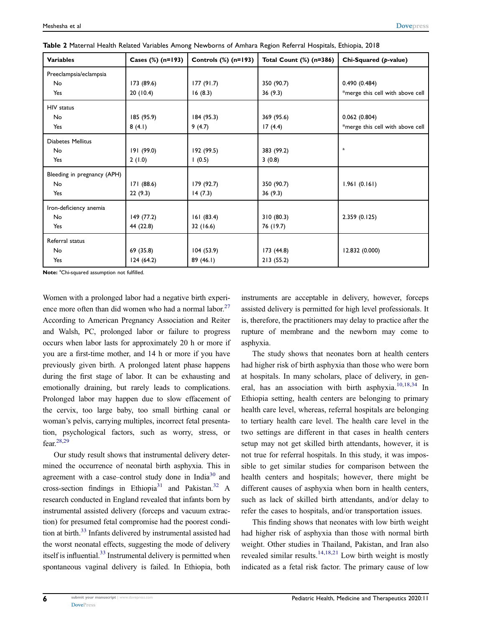| <b>Variables</b>            | Cases (%) (n=193) | Controls $(*)$ (n=193) | Total Count (%) (n=386) | Chi-Squared (p-value)            |
|-----------------------------|-------------------|------------------------|-------------------------|----------------------------------|
| Preeclampsia/eclampsia      |                   |                        |                         |                                  |
| No                          | 173 (89.6)        | 177(91.7)              | 350 (90.7)              | 0.490(0.484)                     |
| Yes                         | 20(10.4)          | 16(8.3)                | 36(9.3)                 | *merge this cell with above cell |
| HIV status                  |                   |                        |                         |                                  |
| No                          | 185 (95.9)        | 184(95.3)              | 369 (95.6)              | 0.062(0.804)                     |
| Yes                         | 8(4.1)            | 9(4.7)                 | 17(4.4)                 | *merge this cell with above cell |
| Diabetes Mellitus           |                   |                        |                         |                                  |
| No                          | 191 (99.0)        | 192 (99.5)             | 383 (99.2)              | $\mathbf a$                      |
| Yes                         | 2(1.0)            | 1(0.5)                 | 3(0.8)                  |                                  |
| Bleeding in pregnancy (APH) |                   |                        |                         |                                  |
| No.                         | 171(88.6)         | 179(92.7)              | 350 (90.7)              | 1.961(0.161)                     |
| Yes                         | 22(9.3)           | 14(7.3)                | 36(9.3)                 |                                  |
| Iron-deficiency anemia      |                   |                        |                         |                                  |
| No                          | 149(77.2)         | 161(83.4)              | 310(80.3)               | 2.359(0.125)                     |
| Yes                         | 44 (22.8)         | 32 (16.6)              | 76 (19.7)               |                                  |
| Referral status             |                   |                        |                         |                                  |
| No                          | 69 (35.8)         | 104(53.9)              | 173 (44.8)              | 12.832 (0.000)                   |
| Yes                         | 124(64.2)         | 89(46.1)               | 213(55.2)               |                                  |
|                             |                   |                        |                         |                                  |

<span id="page-5-0"></span>Table 2 Maternal Health Related Variables Among Newborns of Amhara Region Referral Hospitals, Ethiopia, 2018

Note: <sup>a</sup>Chi-squared assumption not fulfilled.

<span id="page-5-1"></span>Women with a prolonged labor had a negative birth experience more often than did women who had a normal labor. $27$ According to American Pregnancy Association and Reiter and Walsh, PC, prolonged labor or failure to progress occurs when labor lasts for approximately 20 h or more if you are a first-time mother, and 14 h or more if you have previously given birth. A prolonged latent phase happens during the first stage of labor. It can be exhausting and emotionally draining, but rarely leads to complications. Prolonged labor may happen due to slow effacement of the cervix, too large baby, too small birthing canal or woman's pelvis, carrying multiples, incorrect fetal presentation, psychological factors, such as worry, stress, or fear[.28](#page-10-25)[,29](#page-10-26)

<span id="page-5-5"></span><span id="page-5-4"></span><span id="page-5-3"></span><span id="page-5-2"></span>Our study result shows that instrumental delivery determined the occurrence of neonatal birth asphyxia. This in agreement with a case–control study done in India<sup>[30](#page-10-27)</sup> and cross-section findings in Ethiopia<sup>31</sup> and Pakistan.<sup>32</sup> A research conducted in England revealed that infants born by instrumental assisted delivery (forceps and vacuum extraction) for presumed fetal compromise had the poorest condition at birth.<sup>33</sup> Infants delivered by instrumental assisted had the worst neonatal effects, suggesting the mode of delivery itself is influential.<sup>33</sup> Instrumental delivery is permitted when spontaneous vaginal delivery is failed. In Ethiopia, both instruments are acceptable in delivery, however, forceps assisted delivery is permitted for high level professionals. It is, therefore, the practitioners may delay to practice after the rupture of membrane and the newborn may come to asphyxia.

<span id="page-5-6"></span>The study shows that neonates born at health centers had higher risk of birth asphyxia than those who were born at hospitals. In many scholars, place of delivery, in gen-eral, has an association with birth asphyxia.<sup>[10](#page-10-9)[,18](#page-10-16)[,34](#page-10-31)</sup> In Ethiopia setting, health centers are belonging to primary health care level, whereas, referral hospitals are belonging to tertiary health care level. The health care level in the two settings are different in that cases in health centers setup may not get skilled birth attendants, however, it is not true for referral hospitals. In this study, it was impossible to get similar studies for comparison between the health centers and hospitals; however, there might be different causes of asphyxia when born in health centers, such as lack of skilled birth attendants, and/or delay to refer the cases to hospitals, and/or transportation issues.

This finding shows that neonates with low birth weight had higher risk of asphyxia than those with normal birth weight. Other studies in Thailand, Pakistan, and Iran also revealed similar results. $14,18,21$  $14,18,21$  $14,18,21$  $14,18,21$  Low birth weight is mostly indicated as a fetal risk factor. The primary cause of low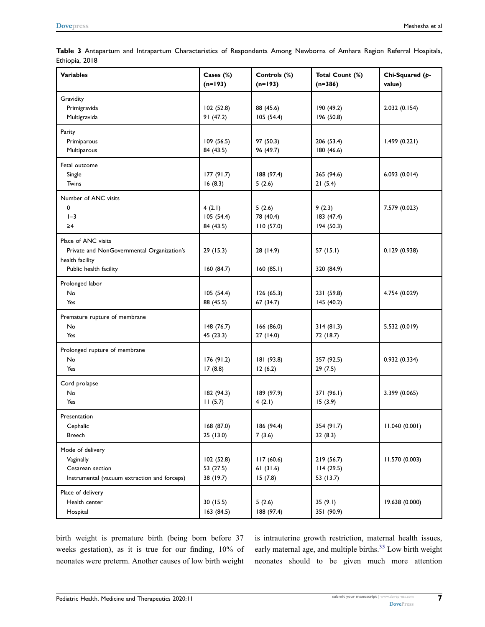| <b>Variables</b>                                                                                               | Cases (%)<br>$(n=193)$               | Controls (%)<br>$(n=193)$        | Total Count (%)<br>$(n=386)$         | Chi-Squared (p-<br>value) |
|----------------------------------------------------------------------------------------------------------------|--------------------------------------|----------------------------------|--------------------------------------|---------------------------|
| Gravidity<br>Primigravida<br>Multigravida                                                                      | 102 (52.8)<br>91 (47.2)              | 88 (45.6)<br>105(54.4)           | 190 (49.2)<br>196 (50.8)             | 2.032(0.154)              |
| Parity<br>Primiparous<br>Multiparous                                                                           | 109 (56.5)<br>84 (43.5)              | 97 (50.3)<br>96 (49.7)           | 206 (53.4)<br>180 (46.6)             | 1.499(0.221)              |
| Fetal outcome<br>Single<br>Twins                                                                               | 177(91.7)<br>16(8.3)                 | 188 (97.4)<br>5(2.6)             | 365 (94.6)<br>21(5.4)                | 6.093(0.014)              |
| Number of ANC visits<br>0<br>$I - 3$<br>$\geq 4$                                                               | 4(2.1)<br>105(54.4)<br>84 (43.5)     | 5(2.6)<br>78 (40.4)<br>110(57.0) | 9(2.3)<br>183 (47.4)<br>194 (50.3)   | 7.579 (0.023)             |
| Place of ANC visits<br>Private and NonGovernmental Organization's<br>health facility<br>Public health facility | 29(15.3)<br>160(84.7)                | 28 (14.9)<br>160(85.1)           | 57(15.1)<br>320 (84.9)               | 0.129(0.938)              |
| Prolonged labor<br>No<br>Yes                                                                                   | 105(54.4)<br>88 (45.5)               | 126(65.3)<br>67(34.7)            | 231 (59.8)<br>145 (40.2)             | 4.754 (0.029)             |
| Premature rupture of membrane<br>No<br>Yes                                                                     | 148 (76.7)<br>45 (23.3)              | 166 (86.0)<br>27(14.0)           | 314(81.3)<br>72 (18.7)               | 5.532 (0.019)             |
| Prolonged rupture of membrane<br>No<br>Yes                                                                     | 176 (91.2)<br>17(8.8)                | 181 (93.8)<br>12(6.2)            | 357 (92.5)<br>29(7.5)                | 0.932(0.334)              |
| Cord prolapse<br>No<br>Yes                                                                                     | 182 (94.3)<br>11(5.7)                | 189 (97.9)<br>4(2.1)             | 371 (96.1)<br>15(3.9)                | 3.399 (0.065)             |
| Presentation<br>Cephalic<br><b>Breech</b>                                                                      | 168 (87.0)<br>25(13.0)               | 186 (94.4)<br>7(3.6)             | 354 (91.7)<br>32(8.3)                | 11.040 (0.001)            |
| Mode of delivery<br>Vaginally<br>Cesarean section<br>Instrumental (vacuum extraction and forceps)              | 102 (52.8)<br>53 (27.5)<br>38 (19.7) | 117(60.6)<br>61(31.6)<br>15(7.8) | 219 (56.7)<br>114(29.5)<br>53 (13.7) | 11.570 (0.003)            |
| Place of delivery<br>Health center<br>Hospital                                                                 | 30(15.5)<br>163 (84.5)               | 5(2.6)<br>188 (97.4)             | 35(9.1)<br>351 (90.9)                | 19.638 (0.000)            |

<span id="page-6-0"></span>Table 3 Antepartum and Intrapartum Characteristics of Respondents Among Newborns of Amhara Region Referral Hospitals, Ethiopia, 2018

birth weight is premature birth (being born before 37 weeks gestation), as it is true for our finding, 10% of neonates were preterm. Another causes of low birth weight

<span id="page-6-1"></span>is intrauterine growth restriction, maternal health issues, early maternal age, and multiple births.<sup>[35](#page-10-32)</sup> Low birth weight neonates should to be given much more attention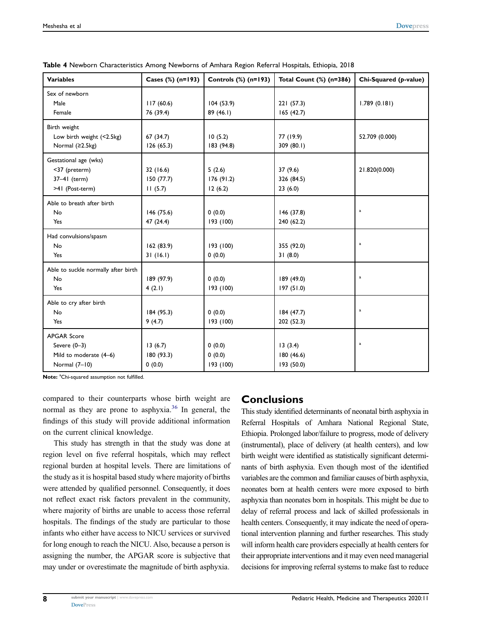| <b>Variables</b>                    | Cases (%) (n=193) | Controls (%) (n=193) | Total Count (%) (n=386) | Chi-Squared (p-value) |
|-------------------------------------|-------------------|----------------------|-------------------------|-----------------------|
| Sex of newborn                      |                   |                      |                         |                       |
| Male                                | 117(60.6)         | 104(53.9)            | 221 (57.3)              | 1.789(0.181)          |
| Female                              | 76 (39.4)         | 89(46.1)             | 165(42.7)               |                       |
| Birth weight                        |                   |                      |                         |                       |
| Low birth weight (<2.5kg)           | 67(34.7)          | 10(5.2)              | 77 (19.9)               | 52.709 (0.000)        |
| Normal (≥2.5kg)                     | 126(65.3)         | 183 (94.8)           | 309 (80.1)              |                       |
| Gestational age (wks)               |                   |                      |                         |                       |
| <37 (preterm)                       | 32 (16.6)         | 5(2.6)               | 37(9.6)                 | 21.820(0.000)         |
| 37-41 (term)                        | 150 (77.7)        | 176(91.2)            | 326 (84.5)              |                       |
| >41 (Post-term)                     | 11(5.7)           | 12(6.2)              | 23(6.0)                 |                       |
| Able to breath after birth          |                   |                      |                         |                       |
| <b>No</b>                           | 146 (75.6)        | 0(0.0)               | 146 (37.8)              | $\mathbf a$           |
| Yes                                 | 47 (24.4)         | 193 (100)            | 240 (62.2)              |                       |
| Had convulsions/spasm               |                   |                      |                         |                       |
| <b>No</b>                           | 162 (83.9)        | 193 (100)            | 355 (92.0)              | $\mathbf a$           |
| Yes                                 | 31(16.1)          | (0.0)                | 31(8.0)                 |                       |
| Able to suckle normally after birth |                   |                      |                         |                       |
| No                                  | 189 (97.9)        | (0.0)                | 189 (49.0)              | $\mathbf a$           |
| Yes                                 | 4(2.1)            | 193 (100)            | 197(51.0)               |                       |
| Able to cry after birth             |                   |                      |                         |                       |
| <b>No</b>                           | 184 (95.3)        | 0(0.0)               | 184 (47.7)              | $\mathbf a$           |
| Yes                                 | 9(4.7)            | 193 (100)            | 202 (52.3)              |                       |
| <b>APGAR Score</b>                  |                   |                      |                         |                       |
| Severe $(0-3)$                      | 13(6.7)           | 0(0.0)               | 13(3.4)                 | $\mathbf a$           |
| Mild to moderate (4-6)              | 180 (93.3)        | 0(0.0)               | 180 (46.6)              |                       |
| Normal $(7-10)$                     | 0(0.0)            | 193 (100)            | 193 (50.0)              |                       |

<span id="page-7-0"></span>Table 4 Newborn Characteristics Among Newborns of Amhara Region Referral Hospitals, Ethiopia, 2018

Note: <sup>a</sup>Chi-squared assumption not fulfilled.

<span id="page-7-1"></span>compared to their counterparts whose birth weight are normal as they are prone to asphyxia. $36$  In general, the findings of this study will provide additional information on the current clinical knowledge.

This study has strength in that the study was done at region level on five referral hospitals, which may reflect regional burden at hospital levels. There are limitations of the study as it is hospital based study where majority of births were attended by qualified personnel. Consequently, it does not reflect exact risk factors prevalent in the community, where majority of births are unable to access those referral hospitals. The findings of the study are particular to those infants who either have access to NICU services or survived for long enough to reach the NICU. Also, because a person is assigning the number, the APGAR score is subjective that may under or overestimate the magnitude of birth asphyxia.

# Conclusions

This study identified determinants of neonatal birth asphyxia in Referral Hospitals of Amhara National Regional State, Ethiopia. Prolonged labor/failure to progress, mode of delivery (instrumental), place of delivery (at health centers), and low birth weight were identified as statistically significant determinants of birth asphyxia. Even though most of the identified variables are the common and familiar causes of birth asphyxia, neonates born at health centers were more exposed to birth asphyxia than neonates born in hospitals. This might be due to delay of referral process and lack of skilled professionals in health centers. Consequently, it may indicate the need of operational intervention planning and further researches. This study will inform health care providers especially at health centers for their appropriate interventions and it may even need managerial decisions for improving referral systems to make fast to reduce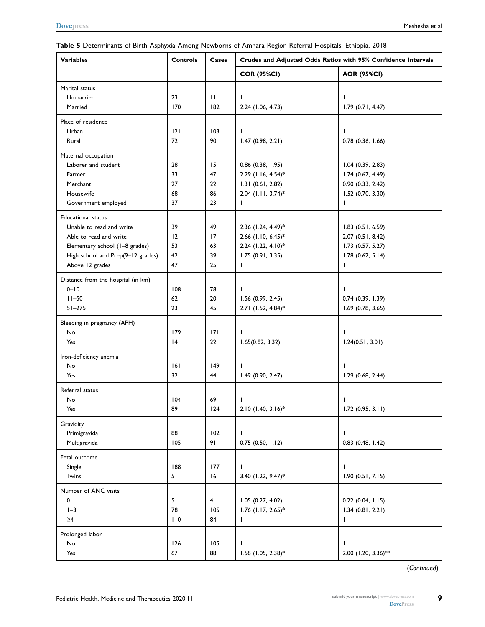#### <span id="page-8-0"></span>Table 5 Determinants of Birth Asphyxia Among Newborns of Amhara Region Referral Hospitals, Ethiopia, 2018

| <b>AOR (95%CI)</b><br><b>COR (95%CI)</b><br>Marital status<br>Unmarried<br>23<br>$\mathbf{H}$<br>L<br>т<br>Married<br>170<br>182<br>2.24 (1.06, 4.73)<br>$1.79$ (0.71, 4.47)<br>Place of residence<br>Urban<br> 2 <br>103<br>T<br>ı<br>72<br>90<br>Rural<br>1.47(0.98, 2.21)<br>$0.78$ $(0.36, 1.66)$<br>Maternal occupation<br>Laborer and student<br>15<br>28<br>$0.86$ (0.38, 1.95)<br>$1.04$ (0.39, 2.83)<br>47<br>2.29 (1.16, 4.54)*<br>Farmer<br>33<br>$1.74$ (0.67, 4.49)<br>Merchant<br>27<br>22<br>1.31(0.61, 2.82)<br>0.90(0.33, 2.42)<br>$2.04$ (1.11, 3.74)*<br>Housewife<br>68<br>86<br>1.52 (0.70, 3.30)<br>37<br>23<br>Government employed<br>L<br>L<br><b>Educational status</b><br>Unable to read and write<br>39<br>49<br>2.36 (1.24, 4.49)*<br>$1.83$ (0.51, 6.59)<br>Able to read and write<br>12<br>17<br>2.66 (1.10, 6.45)*<br>2.07 (0.51, 8.42)<br>$2.24$ (1.22, 4.10)*<br>Elementary school (1-8 grades)<br>53<br>63<br>$1.73$ (0.57, 5.27)<br>High school and Prep(9-12 grades)<br>42<br>39<br>1.75(0.91, 3.35)<br>$1.78$ (0.62, 5.14)<br>Above 12 grades<br>47<br>25<br>L<br>L<br>Distance from the hospital (in km)<br>108<br>$0 - 10$<br>78<br>$\mathbf{I}$<br>T<br>$11 - 50$<br>0.74 (0.39, 1.39)<br>62<br>20<br>$1.56$ (0.99, 2.45)<br>45<br>2.71 (1.52, 4.84)*<br>$1.69$ (0.78, 3.65)<br>$51 - 275$<br>23<br>Bleeding in pregnancy (APH)<br>No<br>179<br> 7 <br>$\mathbf{I}$<br>T<br>Yes<br> 4<br>22<br>1.65(0.82, 3.32)<br>1.24(0.51, 3.01)<br>Iron-deficiency anemia<br>No<br> 6 <br>$ 49\rangle$<br>$\mathbf{I}$<br>I.<br>Yes<br>32<br>44<br>1.49(0.90, 2.47)<br>$1.29$ (0.68, 2.44)<br>Referral status<br>104<br>69<br>No<br>L<br>I.<br>$2.10$ (1.40, 3.16)*<br>$1.72$ (0.95, 3.11)<br>Yes<br>89<br>124<br>Gravidity<br>Primigravida<br>102<br>88<br>T<br>T.<br>105<br>91<br>Multigravida<br>$0.75$ (0.50, 1.12)<br>$0.83$ $(0.48, 1.42)$<br>Fetal outcome<br>Single<br>188<br>177<br>T<br>$\mathbf{L}$<br>5 <sub>1</sub><br>Twins<br>1.90(0.51, 7.15)<br>16<br>3.40 (1.22, 9.47)*<br>Number of ANC visits<br>0<br>5<br>$\overline{4}$<br>1.05(0.27, 4.02)<br>0.22(0.04, 1.15)<br>$I - 3$<br>78<br>105<br>$1.76$ (1.17, 2.65)*<br>1.34(0.81, 2.21)<br>$\geq 4$<br>110<br>84<br>L<br>L<br>Prolonged labor<br>105<br>No<br>126<br>$\mathbf{I}$<br>T<br>67<br>Yes<br>88<br>$1.58$ (1.05, 2.38)*<br>2.00 $(1.20, 3.36)$ ** | <b>Variables</b> | <b>Controls</b> | Cases | Crudes and Adjusted Odds Ratios with 95% Confidence Intervals |  |  |
|-----------------------------------------------------------------------------------------------------------------------------------------------------------------------------------------------------------------------------------------------------------------------------------------------------------------------------------------------------------------------------------------------------------------------------------------------------------------------------------------------------------------------------------------------------------------------------------------------------------------------------------------------------------------------------------------------------------------------------------------------------------------------------------------------------------------------------------------------------------------------------------------------------------------------------------------------------------------------------------------------------------------------------------------------------------------------------------------------------------------------------------------------------------------------------------------------------------------------------------------------------------------------------------------------------------------------------------------------------------------------------------------------------------------------------------------------------------------------------------------------------------------------------------------------------------------------------------------------------------------------------------------------------------------------------------------------------------------------------------------------------------------------------------------------------------------------------------------------------------------------------------------------------------------------------------------------------------------------------------------------------------------------------------------------------------------------------------------------------------------------------------------------------------------------------------------------------------------------------------------------------------------------------------------------------------------------------------------------------------|------------------|-----------------|-------|---------------------------------------------------------------|--|--|
|                                                                                                                                                                                                                                                                                                                                                                                                                                                                                                                                                                                                                                                                                                                                                                                                                                                                                                                                                                                                                                                                                                                                                                                                                                                                                                                                                                                                                                                                                                                                                                                                                                                                                                                                                                                                                                                                                                                                                                                                                                                                                                                                                                                                                                                                                                                                                           |                  |                 |       |                                                               |  |  |
|                                                                                                                                                                                                                                                                                                                                                                                                                                                                                                                                                                                                                                                                                                                                                                                                                                                                                                                                                                                                                                                                                                                                                                                                                                                                                                                                                                                                                                                                                                                                                                                                                                                                                                                                                                                                                                                                                                                                                                                                                                                                                                                                                                                                                                                                                                                                                           |                  |                 |       |                                                               |  |  |
|                                                                                                                                                                                                                                                                                                                                                                                                                                                                                                                                                                                                                                                                                                                                                                                                                                                                                                                                                                                                                                                                                                                                                                                                                                                                                                                                                                                                                                                                                                                                                                                                                                                                                                                                                                                                                                                                                                                                                                                                                                                                                                                                                                                                                                                                                                                                                           |                  |                 |       |                                                               |  |  |
|                                                                                                                                                                                                                                                                                                                                                                                                                                                                                                                                                                                                                                                                                                                                                                                                                                                                                                                                                                                                                                                                                                                                                                                                                                                                                                                                                                                                                                                                                                                                                                                                                                                                                                                                                                                                                                                                                                                                                                                                                                                                                                                                                                                                                                                                                                                                                           |                  |                 |       |                                                               |  |  |
|                                                                                                                                                                                                                                                                                                                                                                                                                                                                                                                                                                                                                                                                                                                                                                                                                                                                                                                                                                                                                                                                                                                                                                                                                                                                                                                                                                                                                                                                                                                                                                                                                                                                                                                                                                                                                                                                                                                                                                                                                                                                                                                                                                                                                                                                                                                                                           |                  |                 |       |                                                               |  |  |
|                                                                                                                                                                                                                                                                                                                                                                                                                                                                                                                                                                                                                                                                                                                                                                                                                                                                                                                                                                                                                                                                                                                                                                                                                                                                                                                                                                                                                                                                                                                                                                                                                                                                                                                                                                                                                                                                                                                                                                                                                                                                                                                                                                                                                                                                                                                                                           |                  |                 |       |                                                               |  |  |
|                                                                                                                                                                                                                                                                                                                                                                                                                                                                                                                                                                                                                                                                                                                                                                                                                                                                                                                                                                                                                                                                                                                                                                                                                                                                                                                                                                                                                                                                                                                                                                                                                                                                                                                                                                                                                                                                                                                                                                                                                                                                                                                                                                                                                                                                                                                                                           |                  |                 |       |                                                               |  |  |
|                                                                                                                                                                                                                                                                                                                                                                                                                                                                                                                                                                                                                                                                                                                                                                                                                                                                                                                                                                                                                                                                                                                                                                                                                                                                                                                                                                                                                                                                                                                                                                                                                                                                                                                                                                                                                                                                                                                                                                                                                                                                                                                                                                                                                                                                                                                                                           |                  |                 |       |                                                               |  |  |
|                                                                                                                                                                                                                                                                                                                                                                                                                                                                                                                                                                                                                                                                                                                                                                                                                                                                                                                                                                                                                                                                                                                                                                                                                                                                                                                                                                                                                                                                                                                                                                                                                                                                                                                                                                                                                                                                                                                                                                                                                                                                                                                                                                                                                                                                                                                                                           |                  |                 |       |                                                               |  |  |
|                                                                                                                                                                                                                                                                                                                                                                                                                                                                                                                                                                                                                                                                                                                                                                                                                                                                                                                                                                                                                                                                                                                                                                                                                                                                                                                                                                                                                                                                                                                                                                                                                                                                                                                                                                                                                                                                                                                                                                                                                                                                                                                                                                                                                                                                                                                                                           |                  |                 |       |                                                               |  |  |
|                                                                                                                                                                                                                                                                                                                                                                                                                                                                                                                                                                                                                                                                                                                                                                                                                                                                                                                                                                                                                                                                                                                                                                                                                                                                                                                                                                                                                                                                                                                                                                                                                                                                                                                                                                                                                                                                                                                                                                                                                                                                                                                                                                                                                                                                                                                                                           |                  |                 |       |                                                               |  |  |
|                                                                                                                                                                                                                                                                                                                                                                                                                                                                                                                                                                                                                                                                                                                                                                                                                                                                                                                                                                                                                                                                                                                                                                                                                                                                                                                                                                                                                                                                                                                                                                                                                                                                                                                                                                                                                                                                                                                                                                                                                                                                                                                                                                                                                                                                                                                                                           |                  |                 |       |                                                               |  |  |
|                                                                                                                                                                                                                                                                                                                                                                                                                                                                                                                                                                                                                                                                                                                                                                                                                                                                                                                                                                                                                                                                                                                                                                                                                                                                                                                                                                                                                                                                                                                                                                                                                                                                                                                                                                                                                                                                                                                                                                                                                                                                                                                                                                                                                                                                                                                                                           |                  |                 |       |                                                               |  |  |
|                                                                                                                                                                                                                                                                                                                                                                                                                                                                                                                                                                                                                                                                                                                                                                                                                                                                                                                                                                                                                                                                                                                                                                                                                                                                                                                                                                                                                                                                                                                                                                                                                                                                                                                                                                                                                                                                                                                                                                                                                                                                                                                                                                                                                                                                                                                                                           |                  |                 |       |                                                               |  |  |
|                                                                                                                                                                                                                                                                                                                                                                                                                                                                                                                                                                                                                                                                                                                                                                                                                                                                                                                                                                                                                                                                                                                                                                                                                                                                                                                                                                                                                                                                                                                                                                                                                                                                                                                                                                                                                                                                                                                                                                                                                                                                                                                                                                                                                                                                                                                                                           |                  |                 |       |                                                               |  |  |
|                                                                                                                                                                                                                                                                                                                                                                                                                                                                                                                                                                                                                                                                                                                                                                                                                                                                                                                                                                                                                                                                                                                                                                                                                                                                                                                                                                                                                                                                                                                                                                                                                                                                                                                                                                                                                                                                                                                                                                                                                                                                                                                                                                                                                                                                                                                                                           |                  |                 |       |                                                               |  |  |
|                                                                                                                                                                                                                                                                                                                                                                                                                                                                                                                                                                                                                                                                                                                                                                                                                                                                                                                                                                                                                                                                                                                                                                                                                                                                                                                                                                                                                                                                                                                                                                                                                                                                                                                                                                                                                                                                                                                                                                                                                                                                                                                                                                                                                                                                                                                                                           |                  |                 |       |                                                               |  |  |
|                                                                                                                                                                                                                                                                                                                                                                                                                                                                                                                                                                                                                                                                                                                                                                                                                                                                                                                                                                                                                                                                                                                                                                                                                                                                                                                                                                                                                                                                                                                                                                                                                                                                                                                                                                                                                                                                                                                                                                                                                                                                                                                                                                                                                                                                                                                                                           |                  |                 |       |                                                               |  |  |
|                                                                                                                                                                                                                                                                                                                                                                                                                                                                                                                                                                                                                                                                                                                                                                                                                                                                                                                                                                                                                                                                                                                                                                                                                                                                                                                                                                                                                                                                                                                                                                                                                                                                                                                                                                                                                                                                                                                                                                                                                                                                                                                                                                                                                                                                                                                                                           |                  |                 |       |                                                               |  |  |
|                                                                                                                                                                                                                                                                                                                                                                                                                                                                                                                                                                                                                                                                                                                                                                                                                                                                                                                                                                                                                                                                                                                                                                                                                                                                                                                                                                                                                                                                                                                                                                                                                                                                                                                                                                                                                                                                                                                                                                                                                                                                                                                                                                                                                                                                                                                                                           |                  |                 |       |                                                               |  |  |
|                                                                                                                                                                                                                                                                                                                                                                                                                                                                                                                                                                                                                                                                                                                                                                                                                                                                                                                                                                                                                                                                                                                                                                                                                                                                                                                                                                                                                                                                                                                                                                                                                                                                                                                                                                                                                                                                                                                                                                                                                                                                                                                                                                                                                                                                                                                                                           |                  |                 |       |                                                               |  |  |
|                                                                                                                                                                                                                                                                                                                                                                                                                                                                                                                                                                                                                                                                                                                                                                                                                                                                                                                                                                                                                                                                                                                                                                                                                                                                                                                                                                                                                                                                                                                                                                                                                                                                                                                                                                                                                                                                                                                                                                                                                                                                                                                                                                                                                                                                                                                                                           |                  |                 |       |                                                               |  |  |
|                                                                                                                                                                                                                                                                                                                                                                                                                                                                                                                                                                                                                                                                                                                                                                                                                                                                                                                                                                                                                                                                                                                                                                                                                                                                                                                                                                                                                                                                                                                                                                                                                                                                                                                                                                                                                                                                                                                                                                                                                                                                                                                                                                                                                                                                                                                                                           |                  |                 |       |                                                               |  |  |
|                                                                                                                                                                                                                                                                                                                                                                                                                                                                                                                                                                                                                                                                                                                                                                                                                                                                                                                                                                                                                                                                                                                                                                                                                                                                                                                                                                                                                                                                                                                                                                                                                                                                                                                                                                                                                                                                                                                                                                                                                                                                                                                                                                                                                                                                                                                                                           |                  |                 |       |                                                               |  |  |
|                                                                                                                                                                                                                                                                                                                                                                                                                                                                                                                                                                                                                                                                                                                                                                                                                                                                                                                                                                                                                                                                                                                                                                                                                                                                                                                                                                                                                                                                                                                                                                                                                                                                                                                                                                                                                                                                                                                                                                                                                                                                                                                                                                                                                                                                                                                                                           |                  |                 |       |                                                               |  |  |
|                                                                                                                                                                                                                                                                                                                                                                                                                                                                                                                                                                                                                                                                                                                                                                                                                                                                                                                                                                                                                                                                                                                                                                                                                                                                                                                                                                                                                                                                                                                                                                                                                                                                                                                                                                                                                                                                                                                                                                                                                                                                                                                                                                                                                                                                                                                                                           |                  |                 |       |                                                               |  |  |
|                                                                                                                                                                                                                                                                                                                                                                                                                                                                                                                                                                                                                                                                                                                                                                                                                                                                                                                                                                                                                                                                                                                                                                                                                                                                                                                                                                                                                                                                                                                                                                                                                                                                                                                                                                                                                                                                                                                                                                                                                                                                                                                                                                                                                                                                                                                                                           |                  |                 |       |                                                               |  |  |
|                                                                                                                                                                                                                                                                                                                                                                                                                                                                                                                                                                                                                                                                                                                                                                                                                                                                                                                                                                                                                                                                                                                                                                                                                                                                                                                                                                                                                                                                                                                                                                                                                                                                                                                                                                                                                                                                                                                                                                                                                                                                                                                                                                                                                                                                                                                                                           |                  |                 |       |                                                               |  |  |
|                                                                                                                                                                                                                                                                                                                                                                                                                                                                                                                                                                                                                                                                                                                                                                                                                                                                                                                                                                                                                                                                                                                                                                                                                                                                                                                                                                                                                                                                                                                                                                                                                                                                                                                                                                                                                                                                                                                                                                                                                                                                                                                                                                                                                                                                                                                                                           |                  |                 |       |                                                               |  |  |
|                                                                                                                                                                                                                                                                                                                                                                                                                                                                                                                                                                                                                                                                                                                                                                                                                                                                                                                                                                                                                                                                                                                                                                                                                                                                                                                                                                                                                                                                                                                                                                                                                                                                                                                                                                                                                                                                                                                                                                                                                                                                                                                                                                                                                                                                                                                                                           |                  |                 |       |                                                               |  |  |
|                                                                                                                                                                                                                                                                                                                                                                                                                                                                                                                                                                                                                                                                                                                                                                                                                                                                                                                                                                                                                                                                                                                                                                                                                                                                                                                                                                                                                                                                                                                                                                                                                                                                                                                                                                                                                                                                                                                                                                                                                                                                                                                                                                                                                                                                                                                                                           |                  |                 |       |                                                               |  |  |
|                                                                                                                                                                                                                                                                                                                                                                                                                                                                                                                                                                                                                                                                                                                                                                                                                                                                                                                                                                                                                                                                                                                                                                                                                                                                                                                                                                                                                                                                                                                                                                                                                                                                                                                                                                                                                                                                                                                                                                                                                                                                                                                                                                                                                                                                                                                                                           |                  |                 |       |                                                               |  |  |
|                                                                                                                                                                                                                                                                                                                                                                                                                                                                                                                                                                                                                                                                                                                                                                                                                                                                                                                                                                                                                                                                                                                                                                                                                                                                                                                                                                                                                                                                                                                                                                                                                                                                                                                                                                                                                                                                                                                                                                                                                                                                                                                                                                                                                                                                                                                                                           |                  |                 |       |                                                               |  |  |
|                                                                                                                                                                                                                                                                                                                                                                                                                                                                                                                                                                                                                                                                                                                                                                                                                                                                                                                                                                                                                                                                                                                                                                                                                                                                                                                                                                                                                                                                                                                                                                                                                                                                                                                                                                                                                                                                                                                                                                                                                                                                                                                                                                                                                                                                                                                                                           |                  |                 |       |                                                               |  |  |
|                                                                                                                                                                                                                                                                                                                                                                                                                                                                                                                                                                                                                                                                                                                                                                                                                                                                                                                                                                                                                                                                                                                                                                                                                                                                                                                                                                                                                                                                                                                                                                                                                                                                                                                                                                                                                                                                                                                                                                                                                                                                                                                                                                                                                                                                                                                                                           |                  |                 |       |                                                               |  |  |
|                                                                                                                                                                                                                                                                                                                                                                                                                                                                                                                                                                                                                                                                                                                                                                                                                                                                                                                                                                                                                                                                                                                                                                                                                                                                                                                                                                                                                                                                                                                                                                                                                                                                                                                                                                                                                                                                                                                                                                                                                                                                                                                                                                                                                                                                                                                                                           |                  |                 |       |                                                               |  |  |
|                                                                                                                                                                                                                                                                                                                                                                                                                                                                                                                                                                                                                                                                                                                                                                                                                                                                                                                                                                                                                                                                                                                                                                                                                                                                                                                                                                                                                                                                                                                                                                                                                                                                                                                                                                                                                                                                                                                                                                                                                                                                                                                                                                                                                                                                                                                                                           |                  |                 |       |                                                               |  |  |
|                                                                                                                                                                                                                                                                                                                                                                                                                                                                                                                                                                                                                                                                                                                                                                                                                                                                                                                                                                                                                                                                                                                                                                                                                                                                                                                                                                                                                                                                                                                                                                                                                                                                                                                                                                                                                                                                                                                                                                                                                                                                                                                                                                                                                                                                                                                                                           |                  |                 |       |                                                               |  |  |
|                                                                                                                                                                                                                                                                                                                                                                                                                                                                                                                                                                                                                                                                                                                                                                                                                                                                                                                                                                                                                                                                                                                                                                                                                                                                                                                                                                                                                                                                                                                                                                                                                                                                                                                                                                                                                                                                                                                                                                                                                                                                                                                                                                                                                                                                                                                                                           |                  |                 |       |                                                               |  |  |
|                                                                                                                                                                                                                                                                                                                                                                                                                                                                                                                                                                                                                                                                                                                                                                                                                                                                                                                                                                                                                                                                                                                                                                                                                                                                                                                                                                                                                                                                                                                                                                                                                                                                                                                                                                                                                                                                                                                                                                                                                                                                                                                                                                                                                                                                                                                                                           |                  |                 |       |                                                               |  |  |
|                                                                                                                                                                                                                                                                                                                                                                                                                                                                                                                                                                                                                                                                                                                                                                                                                                                                                                                                                                                                                                                                                                                                                                                                                                                                                                                                                                                                                                                                                                                                                                                                                                                                                                                                                                                                                                                                                                                                                                                                                                                                                                                                                                                                                                                                                                                                                           |                  |                 |       |                                                               |  |  |
|                                                                                                                                                                                                                                                                                                                                                                                                                                                                                                                                                                                                                                                                                                                                                                                                                                                                                                                                                                                                                                                                                                                                                                                                                                                                                                                                                                                                                                                                                                                                                                                                                                                                                                                                                                                                                                                                                                                                                                                                                                                                                                                                                                                                                                                                                                                                                           |                  |                 |       |                                                               |  |  |
|                                                                                                                                                                                                                                                                                                                                                                                                                                                                                                                                                                                                                                                                                                                                                                                                                                                                                                                                                                                                                                                                                                                                                                                                                                                                                                                                                                                                                                                                                                                                                                                                                                                                                                                                                                                                                                                                                                                                                                                                                                                                                                                                                                                                                                                                                                                                                           |                  |                 |       |                                                               |  |  |
|                                                                                                                                                                                                                                                                                                                                                                                                                                                                                                                                                                                                                                                                                                                                                                                                                                                                                                                                                                                                                                                                                                                                                                                                                                                                                                                                                                                                                                                                                                                                                                                                                                                                                                                                                                                                                                                                                                                                                                                                                                                                                                                                                                                                                                                                                                                                                           |                  |                 |       |                                                               |  |  |
|                                                                                                                                                                                                                                                                                                                                                                                                                                                                                                                                                                                                                                                                                                                                                                                                                                                                                                                                                                                                                                                                                                                                                                                                                                                                                                                                                                                                                                                                                                                                                                                                                                                                                                                                                                                                                                                                                                                                                                                                                                                                                                                                                                                                                                                                                                                                                           |                  |                 |       |                                                               |  |  |

(Continued)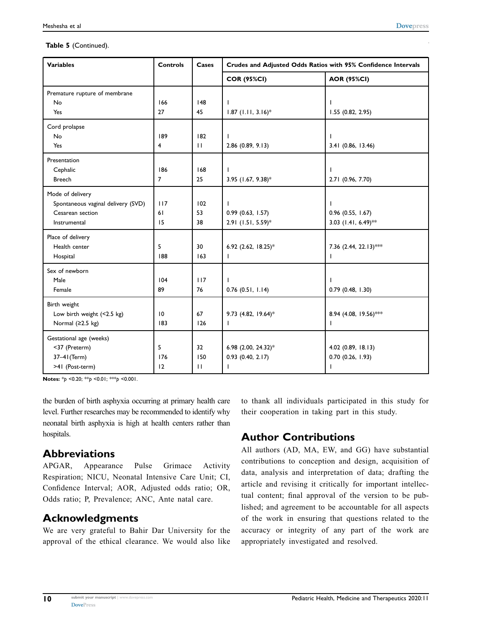#### Table 5 (Continued).

| Variables                          | <b>Controls</b> | Cases        | Crudes and Adjusted Odds Ratios with 95% Confidence Intervals |                       |  |  |
|------------------------------------|-----------------|--------------|---------------------------------------------------------------|-----------------------|--|--|
|                                    |                 |              | <b>COR (95%CI)</b>                                            | <b>AOR (95%CI)</b>    |  |  |
| Premature rupture of membrane      |                 |              |                                                               |                       |  |  |
| No                                 | 166             | 48           |                                                               |                       |  |  |
| Yes                                | 27              | 45           | $1.87$ (1.11, 3.16)*                                          | 1.55 (0.82, 2.95)     |  |  |
| Cord prolapse                      |                 |              |                                                               |                       |  |  |
| No                                 | 189             | 182          |                                                               |                       |  |  |
| Yes                                | 4               | $\mathbf{H}$ | 2.86(0.89, 9.13)                                              | 3.41 (0.86, 13.46)    |  |  |
| Presentation                       |                 |              |                                                               |                       |  |  |
| Cephalic                           | 186             | 168          | ı                                                             | I.                    |  |  |
| <b>Breech</b>                      | $\overline{7}$  | 25           | 3.95 (1.67, 9.38)*                                            | 2.71 (0.96, 7.70)     |  |  |
| Mode of delivery                   |                 |              |                                                               |                       |  |  |
| Spontaneous vaginal delivery (SVD) | 117             | 102          |                                                               |                       |  |  |
| Cesarean section                   | 61              | 53           | 0.99 (0.63, 1.57)                                             | 0.96 (0.55, 1.67)     |  |  |
| Instrumental                       | 15              | 38           | 2.91 (1.51, 5.59)*                                            | 3.03 (1.41, 6.49)**   |  |  |
| Place of delivery                  |                 |              |                                                               |                       |  |  |
| Health center                      | 5               | 30           | 6.92 (2.62, 18.25)*                                           | 7.36 (2.44, 22.13)*** |  |  |
| Hospital                           | 188             | 163          | L                                                             | $\mathbf{I}$          |  |  |
| Sex of newborn                     |                 |              |                                                               |                       |  |  |
| Male                               | 104             | 117          |                                                               |                       |  |  |
| Female                             | 89              | 76           | $0.76$ (0.51, 1.14)                                           | $0.79$ (0.48, 1.30)   |  |  |
| Birth weight                       |                 |              |                                                               |                       |  |  |
| Low birth weight (<2.5 kg)         | $\overline{10}$ | 67           | 9.73 (4.82, 19.64)*                                           | 8.94 (4.08, 19.56)*** |  |  |
| Normal (≥2.5 kg)                   | 183             | 126          | $\mathbf{I}$                                                  | $\mathsf{I}$          |  |  |
| Gestational age (weeks)            |                 |              |                                                               |                       |  |  |

<37 (Preterm) 5 32 6.98 (2.00, 24.32)\* 4.02 (0.89, 18.13) 37–41(Term) 176 150 0.93 (0.40, 2.17) 0.70 (0.26, 1.93)

 $>$ 41 (Post-term) 241 | 12 | 11 | 1

Notes: \*p <0.20; \*\*p <0.01; \*\*\*p <0.001.

the burden of birth asphyxia occurring at primary health care level. Further researches may be recommended to identify why neonatal birth asphyxia is high at health centers rather than hospitals.

# **Abbreviations**

APGAR, Appearance Pulse Grimace Activity Respiration; NICU, Neonatal Intensive Care Unit; CI, Confidence Interval; AOR, Adjusted odds ratio; OR, Odds ratio; P, Prevalence; ANC, Ante natal care.

# Acknowledgments

We are very grateful to Bahir Dar University for the approval of the ethical clearance. We would also like to thank all individuals participated in this study for their cooperation in taking part in this study.

# Author Contributions

All authors (AD, MA, EW, and GG) have substantial contributions to conception and design, acquisition of data, analysis and interpretation of data; drafting the article and revising it critically for important intellectual content; final approval of the version to be published; and agreement to be accountable for all aspects of the work in ensuring that questions related to the accuracy or integrity of any part of the work are appropriately investigated and resolved.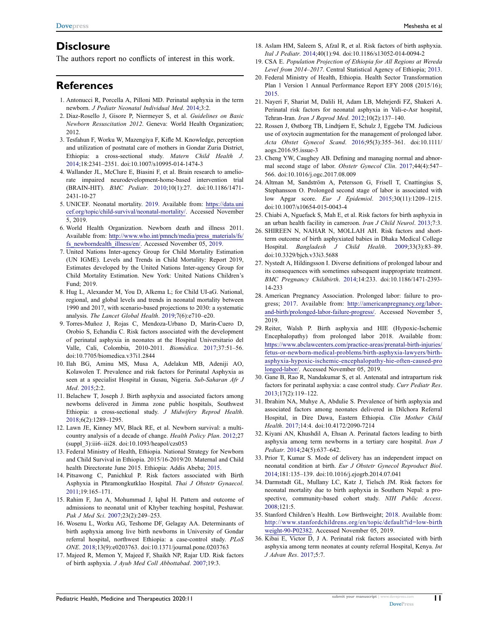# **Disclosure**

The authors report no conflicts of interest in this work.

# References

- <span id="page-10-0"></span>1. Antonucci R, Porcella A, Pilloni MD. Perinatal asphyxia in the term newborn. J Pediatr Neonatal Individual Med. [2014](#page-0-4);3:2.
- <span id="page-10-1"></span>2. Diaz-Rosello J, Gisore P, Niermeyer S, et al. Guidelines on Basic Newborn Resuscitation 2012. Geneva: World Health Organization; 2012.
- <span id="page-10-2"></span>3. Tesfahun F, Worku W, Mazengiya F, Kifle M. Knowledge, perception and utilization of postnatal care of mothers in Gondar Zuria District, Ethiopia: a cross-sectional study. Matern Child Health J. [2014;](#page-0-5)18:2341–2351. doi:[10.1007/s10995-014-1474-3](https://doi.org/10.1007/s10995-014-1474-3)
- <span id="page-10-3"></span>4. Wallander JL, McClure E, Biasini F, et al. Brain research to ameliorate impaired neurodevelopment-home-based intervention trial (BRAIN-HIT). BMC Pediatr. [2010](#page-0-6);10(1):27. doi:[10.1186/1471-](https://doi.org/10.1186/1471-2431-10-27) [2431-10-27](https://doi.org/10.1186/1471-2431-10-27)
- <span id="page-10-4"></span>5. UNICEF. Neonatal mortality. [2019.](#page-1-0) Available from: [https://data.uni](https://data.unicef.org/topic/child-survival/neonatal-mortality/) [cef.org/topic/child-survival/neonatal-mortality/](https://data.unicef.org/topic/child-survival/neonatal-mortality/). Accessed November 5, 2019.
- <span id="page-10-5"></span>6. World Health Organization. Newborn death and illness 2011. Available from: [http://www.who.int/pmnch/media/press\\_materials/fs/](http://www.who.int/pmnch/media/press_materials/fs/fs_newborndealth_illness/en/) [fs\\_newborndealth\\_illness/en/](http://www.who.int/pmnch/media/press_materials/fs/fs_newborndealth_illness/en/). Accessed November 05, [2019](#page-1-1).
- <span id="page-10-6"></span>7. United Nations Inter-agency Group for Child Mortality Estimation (UN IGME). Levels and Trends in Child Mortality: Report 2019, Estimates developed by the United Nations Inter-agency Group for Child Mortality Estimation. New York: United Nations Children's Fund; 2019.
- <span id="page-10-7"></span>8. Hug L, Alexander M, You D, Alkema L; for Child UI-aG. National, regional, and global levels and trends in neonatal mortality between 1990 and 2017, with scenario-based projections to 2030: a systematic analysis. The Lancet Global Health. [2019](#page-1-2);7(6):e710–e20.
- <span id="page-10-8"></span>9. Torres-Muñoz J, Rojas C, Mendoza-Urbano D, Marín-Cuero D, Orobio S, Echandía C. Risk factors associated with the development of perinatal asphyxia in neonates at the Hospital Universitario del Valle, Cali, Colombia, 2010-2011. Biomédica. [2017](#page-1-2);37:51–56. doi:[10.7705/biomedica.v37i1.2844](https://doi.org/10.7705/biomedica.v37i1.2844)
- <span id="page-10-9"></span>10. Ilah BG, Aminu MS, Musa A, Adelakun MB, Adeniji AO, Kolawolen T. Prevalence and risk factors for Perinatal Asphyxia as seen at a specialist Hospital in Gusau, Nigeria. Sub-Saharan Afr J Med. [2015;](#page-1-3)2:2.
- <span id="page-10-10"></span>11. Belachew T, Joseph J. Birth asphyxia and associated factors among newborns delivered in Jimma zone public hospitals, Southwest Ethiopia: a cross-sectional study. J Midwifery Reprod Health. [2018;](#page-1-3)6(2):1289–1295.
- <span id="page-10-11"></span>12. Lawn JE, Kinney MV, Black RE, et al. Newborn survival: a multicountry analysis of a decade of change. Health Policy Plan. [2012](#page-1-4);27 (suppl\_3):iii6–iii28. doi:[10.1093/heapol/czs053](https://doi.org/10.1093/heapol/czs053)
- <span id="page-10-12"></span>13. Federal Ministry of Health, Ethiopia. National Strategy for Newborn and Child Survival in Ethiopia. 2015/16-2019/20. Maternal and Child health Directorate June 2015. Ethiopia: Addis Abeba; [2015.](#page-1-5)
- <span id="page-10-13"></span>14. Pitsawong C, Panichkul P. Risk factors associated with Birth Asphyxia in Phramongkutklao Hospital. Thai J Obstetr Gynaecol. [2011](#page-1-6);19:165–171.
- 15. Rahim F, Jan A, Mohummad J, Iqbal H. Pattern and outcome of admissions to neonatal unit of Khyber teaching hospital, Peshawar. Pak J Med Sci. 2007;23(2):249–253.
- <span id="page-10-14"></span>16. Wosenu L, Worku AG, Teshome DF, Gelagay AA. Determinants of birth asphyxia among live birth newborns in University of Gondar referral hospital, northwest Ethiopia: a case-control study. PLoS ONE. [2018](#page-1-7);13(9):e0203763. doi:[10.1371/journal.pone.0203763](https://doi.org/10.1371/journal.pone.0203763)
- <span id="page-10-15"></span>17. Majeed R, Memon Y, Majeed F, Shaikh NP, Rajar UD. Risk factors of birth asphyxia. J Ayub Med Coll Abbottabad. [2007;](#page-1-8)19:3.
- <span id="page-10-16"></span>18. Aslam HM, Saleem S, Afzal R, et al. Risk factors of birth asphyxia. Ital J Pediatr. [2014;](#page-1-6)40(1):94. doi:[10.1186/s13052-014-0094-2](https://doi.org/10.1186/s13052-014-0094-2)
- <span id="page-10-17"></span>19. CSA E. Population Projection of Ethiopia for All Regions at Wereda Level from 2014–2017. Central Statistical Agency of Ethiopia; [2013](#page-1-9).
- <span id="page-10-18"></span>20. Federal Ministry of Health, Ethiopia. Health Sector Transformation Plan 1 Version 1 Annual Performance Report EFY 2008 (2015/16); [2015](#page-1-10).
- <span id="page-10-19"></span>21. Nayeri F, Shariat M, Dalili H, Adam LB, Mehrjerdi FZ, Shakeri A. Perinatal risk factors for neonatal asphyxia in Vali-e-Asr hospital, Tehran-Iran. Iran J Reprod Med. [2012](#page-1-6);10(2):137–140.
- <span id="page-10-20"></span>22. Rossen J, Østborg TB, Lindtjørn E, Schulz J, Eggebø TM. Judicious use of oxytocin augmentation for the management of prolonged labor. Acta Obstet Gynecol Scand. [2016](#page-2-0);95(3):355–361. doi:[10.1111/](https://doi.org/10.1111/aogs.2016.95.issue-3) [aogs.2016.95.issue-3](https://doi.org/10.1111/aogs.2016.95.issue-3)
- 23. Cheng YW, Caughey AB. Defining and managing normal and abnormal second stage of labor. Obstetr Gynecol Clin. 2017;44(4):547– 566. doi:[10.1016/j.ogc.2017.08.009](https://doi.org/10.1016/j.ogc.2017.08.009)
- <span id="page-10-21"></span>24. Altman M, Sandström A, Petersson G, Frisell T, Cnattingius S, Stephansson O. Prolonged second stage of labor is associated with low Apgar score. Eur J Epidemiol. [2015;](#page-2-0)30(11):1209–1215. doi:[10.1007/s10654-015-0043-4](https://doi.org/10.1007/s10654-015-0043-4)
- <span id="page-10-22"></span>25. Chiabi A, Nguefack S, Mah E, et al. Risk factors for birth asphyxia in an urban health facility in cameroon. Iran J Child Neurol. [2013;](#page-4-1)7:3.
- <span id="page-10-23"></span>26. SHIREEN N, NAHAR N, MOLLAH AH. Risk factors and shortterm outcome of birth asphyxiated babies in Dhaka Medical College Hospital. Bangladesh J Child Health. [2009;](#page-4-1)33(3):83–89. doi:[10.3329/bjch.v33i3.5688](https://doi.org/10.3329/bjch.v33i3.5688)
- <span id="page-10-24"></span>27. Nystedt A, Hildingsson I. Diverse definitions of prolonged labour and its consequences with sometimes subsequent inappropriate treatment. BMC Pregnancy Childbirth. [2014;](#page-5-1)14:233. doi:[10.1186/1471-2393-](https://doi.org/10.1186/1471-2393-14-233) [14-233](https://doi.org/10.1186/1471-2393-14-233)
- <span id="page-10-25"></span>28. American Pregnancy Association. Prolonged labor: failure to progress; [2017](#page-5-2). Available from: [http://americanpregnancy.org/labor](http://americanpregnancy.org/labor-and-birth/prolonged-labor-failure-progress/)[and-birth/prolonged-labor-failure-progress/.](http://americanpregnancy.org/labor-and-birth/prolonged-labor-failure-progress/) Accessed November 5, 2019.
- <span id="page-10-26"></span>29. Reiter, Walsh P. Birth asphyxia and HIE (Hypoxic-Ischemic Encephalopathy) from prolonged labor 2018. Available from: [https://www.abclawcenters.com/practice-areas/prenatal-birth-injuries/](https://www.abclawcenters.com/practice-areas/prenatal-birth-injuries/fetus-or-newborn-medical-problems/birth-asphyxia-lawyers/birth-asphyxia-hypoxic-ischemic-encephalopathy-hie-often-caused-prolonged-labor/) [fetus-or-newborn-medical-problems/birth-asphyxia-lawyers/birth](https://www.abclawcenters.com/practice-areas/prenatal-birth-injuries/fetus-or-newborn-medical-problems/birth-asphyxia-lawyers/birth-asphyxia-hypoxic-ischemic-encephalopathy-hie-often-caused-prolonged-labor/)[asphyxia-hypoxic-ischemic-encephalopathy-hie-often-caused-pro](https://www.abclawcenters.com/practice-areas/prenatal-birth-injuries/fetus-or-newborn-medical-problems/birth-asphyxia-lawyers/birth-asphyxia-hypoxic-ischemic-encephalopathy-hie-often-caused-prolonged-labor/) [longed-labor/.](https://www.abclawcenters.com/practice-areas/prenatal-birth-injuries/fetus-or-newborn-medical-problems/birth-asphyxia-lawyers/birth-asphyxia-hypoxic-ischemic-encephalopathy-hie-often-caused-prolonged-labor/) Accessed November 05, 2019.
- <span id="page-10-27"></span>30. Gane B, Rao R, Nandakumar S, et al. Antenatal and intrapartum risk factors for perinatal asphyxia: a case control study. Curr Pediatr Res. [2013](#page-5-3);17(2):119–122.
- <span id="page-10-28"></span>31. Ibrahim NA, Muhye A, Abdulie S. Prevalence of birth asphyxia and associated factors among neonates delivered in Dilchora Referral Hospital, in Dire Dawa, Eastern Ethiopia. Clin Mother Child Health. [2017;](#page-5-4)14:4. doi:[10.4172/2090-7214](https://doi.org/10.4172/2090-7214)
- <span id="page-10-29"></span>32. Kiyani AN, Khushdil A, Ehsan A. Perinatal factors leading to birth asphyxia among term newborns in a tertiary care hospital. Iran J Pediatr. [2014;](#page-5-4)24(5):637–642.
- <span id="page-10-30"></span>33. Prior T, Kumar S. Mode of delivery has an independent impact on neonatal condition at birth. Eur J Obstetr Gynecol Reproduct Biol. [2014](#page-5-5);181:135–139. doi:[10.1016/j.ejogrb.2014.07.041](https://doi.org/10.1016/j.ejogrb.2014.07.041)
- <span id="page-10-31"></span>34. Darmstadt GL, Mullany LC, Katz J, Tielsch JM. Risk factors for neonatal mortality due to birth asphyxia in Southern Nepal: a prospective, community-based cohort study. NIH Public Access. [2008](#page-5-6);121:5.
- <span id="page-10-32"></span>35. Stanford Children's Health. Low Birthweight; [2018.](#page-6-1) Available from: [http://www.stanfordchildrens.org/en/topic/default?id=low-birth](http://www.stanfordchildrens.org/en/topic/default?id=low-birthweight-90-P02382) [weight-90-P02382.](http://www.stanfordchildrens.org/en/topic/default?id=low-birthweight-90-P02382) Accessed November 05, 2019.
- <span id="page-10-33"></span>36. Kibai E, Victor D, J A. Perinatal risk factors associated with birth asphyxia among term neonates at county referral Hospital, Kenya. Int J Advan Res. [2017;](#page-7-1)5:7.

11